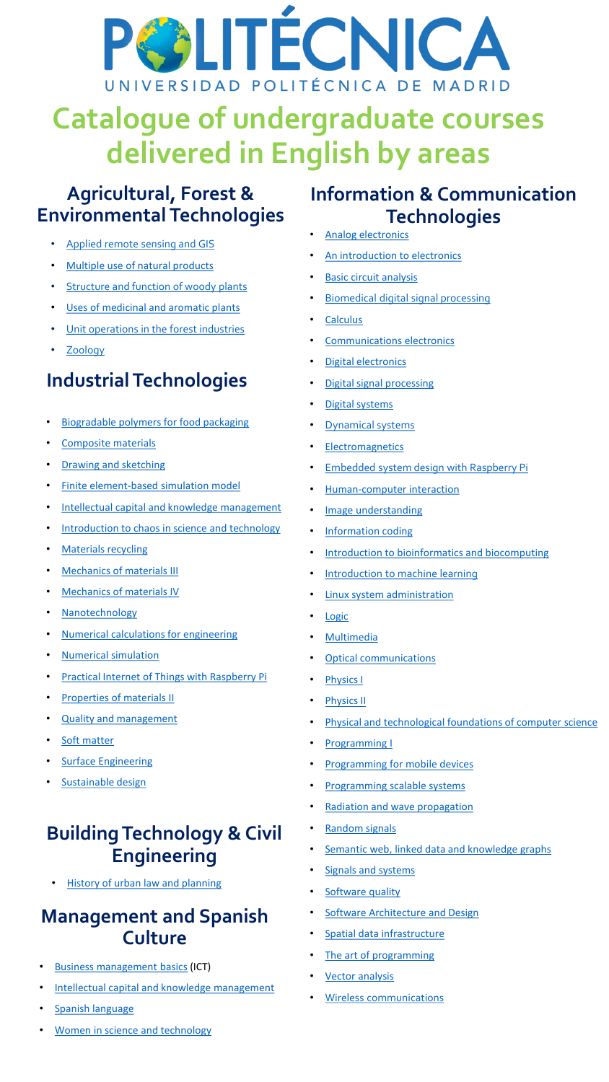

## **Catalogue of undergraduate courses delivered in English by areas**

### **Agricultural, Forest & Environmental Technologies**

- [Applied](https://www.montes.upm.es/sfs/montesymedionatural/English/Academic_offer_in_English/Estaticos/Applied_Remote_Sensing_and_GIS-ETSIMFMN.pdf) remote sensing and GIS
- [Multiple use of natural products](https://www.montes.upm.es/sfs/montesymedionatural/English/Academic_offer_in_English/Estaticos/Multiple_use_of_natural_products-v3.pdf)
- [Structure](https://www.montes.upm.es/sfs/montesymedionatural/English/Academic_offer_in_English/Estaticos/STRUCTURE_AND_FUNCTION_OF_WOODY_PLANTS-ETSIMFMN_v2.pdf) and function of woody plants
- Uses of [medicinal](https://www.montes.upm.es/sfs/montesymedionatural/English/Academic_offer_in_English/Estaticos/Uses_of_medicinal_and_aromatic_plants-v2.pdf) and aromatic plants
- Unit [operations](https://www.montes.upm.es/sfs/montesymedionatural/English/Academic_offer_in_English/Estaticos/UNIT_OPERATIONS_IN_THE_FOREST_INDUSTRIES-ETSIMFMN.pdf) in the forest industries
- [Zoology](https://www.montes.upm.es/sfs/montesymedionatural/English/Academic_offer_in_English/Estaticos/Course_Zoology.pdf)

### **Industrial Technologies**

- **Biogradable [polymers for food packaging](https://drive.upm.es/index.php/s/c2BvG8AISvHBVWk)**
- [Composite materials](https://drive.upm.es/index.php/s/wkJc5XwMZbgIckY)
- [Drawing and sketching](https://drive.upm.es/index.php/s/wzaPcLuqVmrZXKc)
- [Finite element-based simulation model](https://drive.upm.es/index.php/s/OQx9NFspNJ0bzYj)
- [Intellectual capital and knowledge management](https://drive.upm.es/index.php/s/ea4BEqnebpqoK2u)
- [Introduction to chaos in science and technology](https://drive.upm.es/index.php/s/NAiiplA4oPcHARM)
- **[Materials recycling](https://drive.upm.es/index.php/s/r0O4e4ecCq4eWIv)**
- [Mechanics of materials III](https://drive.upm.es/index.php/s/iCIDpjxtNVtHLCX)
- [Mechanics of materials IV](https://drive.upm.es/index.php/s/67JzpDDVtMTChp6)
- [Nanotechnology](https://drive.upm.es/index.php/s/Kaujt0myKB3eZDq)
- [Numerical calculations for engineering](https://drive.upm.es/index.php/s/IqoIodlVnSuulB3)
- [Numerical simulation](https://drive.upm.es/index.php/s/JnhheB0JeUcSdev)
- **[Practical Internet of Things with Raspberry Pi](https://drive.upm.es/index.php/s/k1P4Eqs61j0Jx6g)**
- **[Properties of materials II](https://drive.upm.es/index.php/s/piFqqsBAkoRNyEu)**
- [Quality and management](https://drive.upm.es/index.php/s/oQvmjOHcc3lFUs9)
- [Soft matter](https://drive.upm.es/index.php/s/29oE6NqLQG4Koki)
- [Surface Engineering](https://drive.upm.es/s/B6jgz1745Jf0Jd0)
- **[Sustainable design](https://drive.upm.es/index.php/s/7qvShLVLndNtr44)**

### **Building Technology & Civil Engineering**

• [History of urban law and planning](https://drive.upm.es/index.php/s/cEM0iNhxTWO31ML)

### **Management and Spanish Culture**

- [Business management](http://www.etsit.upm.es/fileadmin/documentos/servicios/internacionales/extranjeros/Syllabus_GITST/95000012_GITST_Introduction_to_Business_Management.pdf) basics (ICT)
- [Intellectual capital and knowledge management](https://drive.upm.es/index.php/s/ea4BEqnebpqoK2u)
- [Spanish language](https://www.lenguas.upm.es/2020/05/27/cursos-de-espanol/)

### **Information & Communication Technologies**

- **Analog [electronics](http://www.etsit.upm.es/fileadmin/documentos/servicios/internacionales/extranjeros/Syllabus_GITST/95000020_GITST_ANALOG_ELECTRONICS.pdf)**
- An introduction [to electronics](http://www.etsit.upm.es/fileadmin/documentos/servicios/internacionales/extranjeros/Syllabus_GITST/95000009_GITST_AN_INTRODUCTION_TO_ELECTRONICS.pdf)
- **[Basic circuit](http://www.etsit.upm.es/fileadmin/documentos/servicios/internacionales/extranjeros/Syllabus_GITST/95000008_GITST_BASIC_CIRCUIT_ANALYSIS.pdf) analysis**
- [Biomedical digital signal processing](https://drive.upm.es/index.php/s/mw4A2rrrUDQUorv)
- **[Calculus](http://www.etsit.upm.es/fileadmin/documentos/servicios/internacionales/extranjeros/Syllabus_GITST/95000002_GITST_CALCULUS.pdf)**
- [Communications](http://www.etsit.upm.es/fileadmin/documentos/servicios/internacionales/extranjeros/Syllabus_GITST/95000037_GITST_Communications_Electronics.pdf) electronics
- [Digital electronics](http://www.etsit.upm.es/fileadmin/documentos/servicios/internacionales/extranjeros/Syllabus_GITST/95000018_GITST_DIGITAL_ELECTRONICS.pdf)
- [Digital signal](http://www.etsit.upm.es/fileadmin/documentos/servicios/internacionales/extranjeros/Syllabus_GITST/95000028_GITST_Digital_Signal_Processing.pdf) processing
- [Digital systems](https://drive.upm.es/index.php/s/se5rVTqqiRPhEsW)
- [Dynamical systems](https://drive.upm.es/index.php/s/eHbvBnEntRmI985)
- **[Electromagnetics](http://www.etsit.upm.es/fileadmin/documentos/servicios/internacionales/extranjeros/Syllabus_GITST/95000013_GITST_ELECTROMAGNETICS.pdf)**
- **[Embedded system design with Raspberry Pi](https://drive.upm.es/index.php/s/0futKW25wg9tngN)**
- **[Human-computer interaction](https://drive.upm.es/index.php/s/IBIksHLmMJyclyl)**
- [Image understanding](https://drive.upm.es/index.php/s/Wdwn80rqI7Pp9Er)
- [Information](https://www.etsisi.upm.es/sites/default/files/information_coding_-_etsisi_2122-1.pdf) coding
- [Introduction to bioinformatics and biocomputing](https://drive.upm.es/index.php/s/aTXfOuItE1Yqiny)
- [Introduction to machine learning](https://drive.upm.es/index.php/s/vtWd3C7OLjM7Y87)
- Linux system [administration](https://drive.upm.es/index.php/s/2Ry8nWp0uTMgdCS)
- **[Logic](https://drive.upm.es/index.php/s/sfsVsxOyThpjTy9)**
- **[Multimedia](https://drive.upm.es/index.php/s/Popk0gTXu1PjGGl)**
- **Optical [communications](http://www.etsit.upm.es/fileadmin/documentos/servicios/internacionales/extranjeros/Syllabus_GITST/95000036_GITST_Optical_Communications.pdf)**
- [Physics](http://www.etsit.upm.es/fileadmin/documentos/servicios/internacionales/extranjeros/Syllabus_GITST/95000003_GITST_PHYSICS_1.pdf) I
- **[Physics](http://www.etsit.upm.es/fileadmin/documentos/servicios/internacionales/extranjeros/Syllabus_GITST/95000006_GITST_PHYSICS_2.pdf) II**
- [Physical and technological foundations of computer science](https://drive.upm.es/index.php/s/GHFvqICKr6dAor1)
- [Programming I](https://drive.upm.es/index.php/s/HXPTXBXtxJz4D9p)
- [Programming for mobile devices](https://drive.upm.es/index.php/s/BPKxOpN9c7aQArV)
- [Programming scalable systems](https://drive.upm.es/index.php/s/qVDn7jSl4W0xyps)
- **Radiation [and wave propagation](http://www.etsit.upm.es/fileadmin/documentos/servicios/internacionales/extranjeros/Syllabus_GITST/95000035_GITST_Radiation_and_Wave_Propagation.pdf)**
- [Random](http://www.etsit.upm.es/fileadmin/documentos/servicios/internacionales/extranjeros/Syllabus_GITST/95000016_GITST_RANDOM_SIGNALS.pdf) signals
- [Semantic web, linked data and knowledge graphs](https://drive.upm.es/index.php/s/tKWXG1TxhDRA9Sx)
- Signals [and systems](http://www.etsit.upm.es/fileadmin/documentos/servicios/internacionales/extranjeros/Syllabus_GITST/95000015_GITST_SIGNALS_AND_SYSTEMS.pdf)
- **[Software quality](https://www.etsisi.upm.es/sites/default/files/software_quality_-_etsisi.pdf)**
- **[Software Architecture](https://www.etsisi.upm.es/sites/default/files/ads_v1.doc) and Design**
- Spatial [data infrastructure](http://www.etsit.upm.es/fileadmin/documentos/servicios/internacionales/extranjeros/Syllabus_GITST/95000242_GITST_SPATIAL_DATA_INFRASTRUCTURE.pdf)
- [The art of programming](https://drive.upm.es/index.php/s/zAqOOHmAfoQQjiU)
- **[Vector analysis](http://www.etsit.upm.es/fileadmin/documentos/servicios/internacionales/extranjeros/Syllabus_GITST/95000007_GITST_VECTOR_ANALYSIS.pdf)**
- [Wireless communications](https://drive.upm.es/index.php/s/9OyFOK22BTmr7eG)
- [Women in science and technology](https://drive.upm.es/index.php/s/pWmhbZzw2Kyq1jX)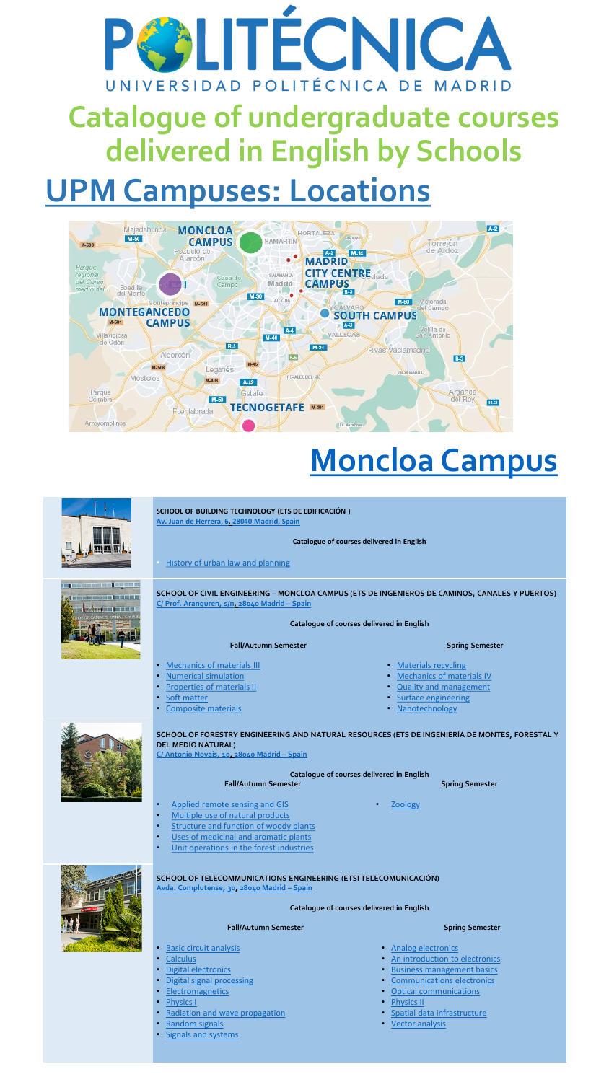# **CALITÉCNICA** UNIVERSIDAD POLITÉCNICA DE MADRID

## **Catalogue of undergraduate courses delivered in English by Schools**

### **UPM Campuses: Locations**



## **[Moncloa](https://www.upm.es/sfs/Rectorado/Gabinete%20del%20Rector/Planos/Acceso%20Campus%20Ciudad%20Universitaria.pdf) Campus**